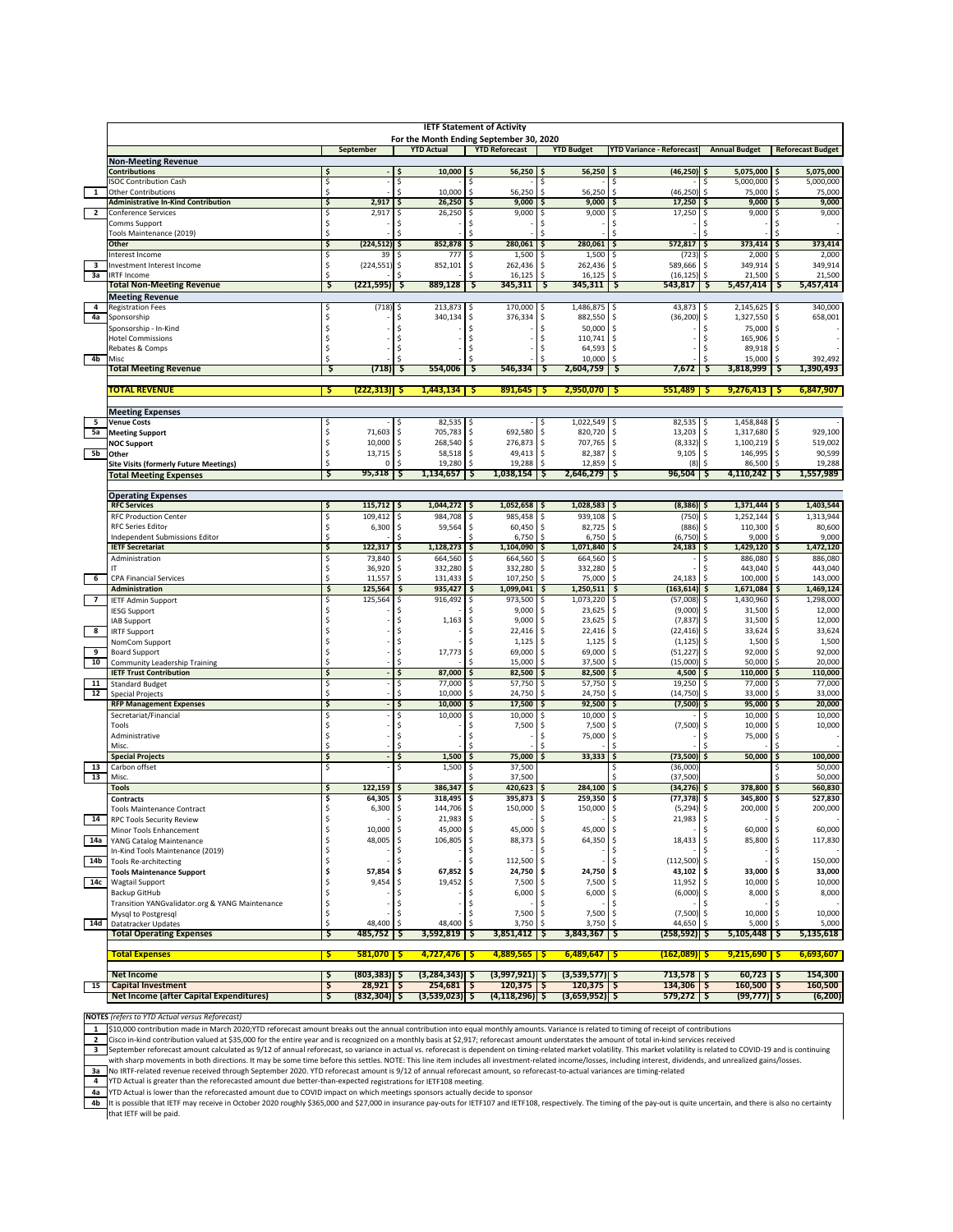| 1               | <b>IETF Statement of Activity</b>                      |          |                                          |           |                                  |           |                                  |              |                        |                                      |                      |                                          |                                   |
|-----------------|--------------------------------------------------------|----------|------------------------------------------|-----------|----------------------------------|-----------|----------------------------------|--------------|------------------------|--------------------------------------|----------------------|------------------------------------------|-----------------------------------|
|                 |                                                        |          | For the Month Ending September 30, 2020  |           |                                  |           |                                  |              |                        |                                      |                      |                                          |                                   |
|                 |                                                        |          | September                                |           | <b>YTD Actual</b>                |           | <b>YTD Reforecast</b>            |              | <b>YTD Budget</b>      | <b>YTD Variance - Reforecast</b>     |                      | <b>Annual Budget</b>                     | <b>Reforecast Budget</b>          |
|                 | <b>Non-Meeting Revenue</b>                             |          |                                          |           |                                  |           |                                  |              |                        |                                      |                      |                                          |                                   |
|                 | <b>Contributions</b><br><b>ISOC Contribution Cash</b>  | Ś<br>\$  |                                          | Ś<br>\$   | 10,000                           | Ś<br>Ŝ    | 56,250                           | \$.          | 56,250                 | (46, 250)                            | .\$<br>\$.           | 5,075,000<br>5,000,000                   | 5,075,000<br>Ś<br>\$<br>5,000,000 |
|                 | <b>Other Contributions</b>                             | \$       |                                          | Ś         | 10,000                           | Ś         | 56,250                           | Ś            | 56,250                 | Ś<br>(46, 250)                       | \$                   | 75,000                                   | \$<br>75,000                      |
|                 | <b>Administrative In-Kind Contribution</b>             | \$       | 2,917                                    | \$        | 26,250                           | Ŝ         | 9,000                            | S            | 9,000                  | 17,250                               | \$                   | 9,000                                    | 9,000<br>\$                       |
| $\overline{2}$  | <b>Conference Services</b>                             | Ś        | 2,917                                    | Ŝ         | 26,250                           | Ś         | 9,000                            | Ŝ            | 9,000                  | 17,250<br>S                          | Ŝ                    | 9,000                                    | 9,000<br>Ŝ                        |
|                 | Comms Support                                          | \$       |                                          | Ŝ         |                                  |           |                                  |              |                        |                                      | Ŝ                    |                                          |                                   |
|                 | Tools Maintenance (2019)                               | \$       |                                          |           |                                  |           |                                  |              |                        |                                      | Ŝ                    |                                          |                                   |
|                 | Other                                                  | \$       | (224, 512)                               | \$        | 852,878                          | \$        | 280,061                          | \$,          | 280,061                | 572,817<br>S                         | \$                   | 373,414                                  | 373,414<br>\$                     |
| 3               | Interest Income<br>Investment Interest Income          | \$       | 39<br>(224, 551)                         | .s<br>\$  | 777<br>852,101                   | Ŝ<br>\$   | 1,500<br>262,436                 | .s<br>-\$    | 1,500<br>262,436       | (723)<br>589,666<br>-S               | .s<br>\$             | 2,000<br>349,914                         | 2,000<br>S<br>\$<br>349,914       |
| За              | <b>IRTF Income</b>                                     | Ś        |                                          |           |                                  |           | 16,125                           | -\$          | 16,125                 | (16.125)<br><b>S</b>                 | \$                   | 21,500                                   | \$<br>21,500                      |
|                 | <b>Total Non-Meeting Revenue</b>                       | Ş        | $(221, 595)$ \$                          |           | 889,128                          | Ş         | 345,311                          | Ş            | 345,311                | 543,817<br>Ş                         | - \$                 | 5,457,414                                | 5,457,414<br>-5                   |
|                 | <b>Meeting Revenue</b>                                 |          |                                          |           |                                  |           |                                  |              |                        |                                      |                      |                                          |                                   |
| 4               | <b>Registration Fees</b>                               | \$       | $(718)$ \$                               |           | 213,873                          | \$        | 170,000                          | \$           | 1,486,875              | 43,873                               | \$                   | 2,145,625 \$                             | 340,000                           |
| 4a              | Sponsorship                                            | \$       |                                          | \$        | 340,134                          | \$        | 376,334                          | \$           | 882,550                | \$<br>(36, 200)                      | \$                   | 1,327,550                                | \$<br>658,001                     |
|                 | Sponsorship - In-Kind                                  | \$       |                                          | \$        |                                  | \$        |                                  | \$.          | 50,000                 | -\$                                  | \$                   | 75,000                                   | \$                                |
|                 | <b>Hotel Commissions</b>                               | Ś        |                                          | Ŝ         |                                  | Ŝ         |                                  | -\$          | 110,741                | .S                                   | \$                   | 165.906                                  | \$.                               |
|                 | Rebates & Comps                                        | S        |                                          | .S        |                                  | S         |                                  | .s           | 64,593                 | <b>S</b>                             | \$                   | 89,918                                   | <b>S</b>                          |
| 4b              | Misc                                                   | Ś        |                                          | .S        | 554,006                          |           | 546,334                          |              | 10,000                 | <b>S</b>                             | <sup>\$</sup><br>- S | 15,000                                   | \$<br>392,492<br>1,390,493<br>-S  |
|                 | <b>Total Meeting Revenue</b>                           | Ş        | (718)                                    | Ş         |                                  | Ş         |                                  | Ş            | 2,604,759              | 7,672<br>Ş                           |                      | 3,818,999                                |                                   |
|                 | TOTAL REVENUE                                          | s        | $(222, 313)$ \$                          |           | $1,443,134$   \$                 |           | $891,645$ \$                     |              | 2,950,070              | $551,489$ \$                         |                      | 9,276,413                                | 6,847,907                         |
|                 |                                                        |          |                                          |           |                                  |           |                                  |              |                        |                                      |                      |                                          |                                   |
|                 | <b>Meeting Expenses</b>                                |          |                                          |           |                                  |           |                                  |              |                        |                                      |                      |                                          |                                   |
| 5               | <b>Venue Costs</b>                                     | \$       |                                          | .s        | 82,535                           | S         |                                  |              | 1,022,549              | 82,535                               | -\$                  | 1,458,848                                | -S                                |
| 5a              | <b>Meeting Support</b>                                 | \$       | 71,603                                   | -\$       | 705,783                          | \$        | 692,580                          | -\$          | 820,720                | 13,203<br>.S                         | -\$                  | 1,317,680                                | 929,100<br>l \$                   |
|                 | <b>NOC Support</b>                                     | \$       | 10,000                                   | \$        | 268,540                          | \$        | 276,873                          | -\$          | 707,765                | (8, 332)                             | \$                   | 1,100,219                                | \$<br>519,002                     |
| 5b              | Other                                                  | \$       | 13,715                                   | \$        | 58,518                           | \$        | 49,413                           | \$           | 82,387                 | \$<br>9,105                          | \$                   | 146.995                                  | \$<br>90,599                      |
|                 | <b>Site Visits (formerly Future Meetings)</b>          | \$<br>s  | 0<br>$95,318$   \$                       | \$        | 19,280<br>1,134,657              | \$<br>S   | 19,288<br>1,038,154              | \$<br>-S     | 12,859<br>2,646,279    | (8)<br>96,504                        | \$<br>-S             | 86,500<br>$4,110,242$   \$               | 19,288<br>\$<br>1,557,989         |
|                 | <b>Total Meeting Expenses</b>                          |          |                                          |           |                                  |           |                                  |              |                        |                                      |                      |                                          |                                   |
|                 | <b>Operating Expenses</b>                              |          |                                          |           |                                  |           |                                  |              |                        |                                      |                      |                                          |                                   |
|                 | <b>RFC Services</b>                                    | \$       | $115,712$ \$                             |           | $1,044,272$ \$                   |           | 1,052,658                        | -S           | 1,028,583              | $(8,386)$ \$                         |                      | $1,371,444$ \$                           | 1,403,544                         |
|                 | <b>RFC Production Center</b>                           | \$       | 109,412                                  | \$        | 984,708                          | \$        | 985,458                          | Ŝ            | 939,108                | (750)                                | \$                   | 1,252,144                                | 1,313,944<br>\$                   |
|                 | <b>RFC Series Editor</b>                               | \$       | 6,300                                    | \$        | 59,564                           | \$        | 60,450                           | \$           | 82,725                 | \$<br>(886)                          | \$                   | 110,300                                  | \$<br>80,600                      |
|                 | Independent Submissions Editor                         | \$       |                                          | Ŝ         |                                  | Ś         | 6,750                            | \$           | 6,750                  | \$<br>(6, 750)                       | \$                   | 9,000                                    | \$<br>9,000                       |
|                 | <b>IETF Secretariat</b>                                | \$       | 122,317                                  | \$        | 1,128,273                        | \$        | 1,104,090                        | \$           | 1,071,840              | 24,183<br>\$                         | \$                   | 1,429,120                                | 1,472,120<br>\$                   |
|                 | Administration                                         | Ś        | 73,840                                   | \$        | 664,560                          | \$        | 664,560                          | Ŝ            | 664,560                | \$                                   | \$                   | 886,080                                  | 886,080<br>Ŝ                      |
|                 | IT                                                     | \$       | 36,920                                   | \$        | 332,280                          | \$        | 332,280                          | \$           | 332,280                | \$                                   | \$                   | 443,040                                  | \$<br>443,040                     |
| $6\overline{6}$ | <b>CPA Financial Services</b><br>Administration        | \$<br>\$ | 11,557<br>125,564                        | Ŝ         | 131,433<br>935,427               | \$<br>\$  | 107,250<br>1,099,041             | \$<br>\$     | 75,000<br>1,250,511    | 24,183<br>$(163, 614)$ \$<br>\$.     | \$                   | 100,000<br>1,671,084                     | 143,000<br>Ŝ<br>\$<br>1,469,124   |
| $\overline{7}$  | <b>IETF Admin Support</b>                              | Ś        | 125,564                                  | \$<br>\$. | 916,492                          | \$.       | 973,500                          | .s           | 1,073,220              | (57,008)                             | .s                   | 1,430,960                                | 1,298,000<br>S                    |
|                 | <b>IESG Support</b>                                    | \$       |                                          | .s        |                                  |           | 9,000                            | -\$          | 23,625                 | (9,000)                              | \$                   | 31,500                                   | Ś<br>12,000                       |
|                 | IAB Support                                            | S        |                                          | Ŝ         | 1,163                            | \$        | 9,000                            | \$           | 23,625                 | (7, 837)                             | \$                   | 31,500                                   | 12,000<br>Ŝ                       |
| 8               | <b>IRTF Support</b>                                    | Ś        |                                          | \$        |                                  | \$        | 22,416                           | \$           | 22,416                 | (22, 416)                            | \$                   |                                          | 33,624<br>\$                      |
|                 | NomCom Support                                         | Ś        |                                          | \$        |                                  | .S        | 1,125                            | \$           |                        |                                      |                      | 33,624                                   |                                   |
|                 | <b>Board Support</b>                                   | \$       |                                          |           |                                  |           |                                  |              | 1,125                  | (1, 125)<br>-\$                      | \$                   | 1,500                                    | 1,500<br>\$                       |
| 9               |                                                        |          |                                          | \$        | 17,773                           | \$        | 69,000                           | \$           | 69,000                 | (51, 227)<br>\$                      | -\$                  | 92,000                                   | \$<br>92,000                      |
| 10              | Community Leadership Training                          | \$       |                                          | \$        |                                  | ¢,        | 15,000                           | <sub>S</sub> | 37,500                 | (15,000)<br><b>S</b>                 | \$                   | 50,000                                   | \$<br>20,000                      |
|                 | <b>IETF Trust Contribution</b>                         | \$       |                                          | \$        | 87,000                           | \$        | 82,500                           | \$           | 82,500                 | 4,500<br>\$                          | \$                   | 110,000                                  | 110,000<br>\$                     |
| 11              | <b>Standard Budget</b>                                 | \$       |                                          | -\$       | 77,000                           | \$.       | 57,750                           | -\$          | 57,750                 | 19,250<br>-\$                        | \$.                  | 77,000                                   | 77,000<br>-\$                     |
| 12              | <b>Special Projects</b>                                | \$       |                                          | \$        | 10,000                           | \$        | 24,750                           | -\$          | 24,750                 | (14, 750)                            | -\$                  | 33,000                                   | 33,000<br>\$                      |
|                 | <b>RFP Management Expenses</b>                         | \$       |                                          | \$        | 10,000                           | Ś         | 17,500                           | Ś            | 92,500                 | (7,500)                              | \$<br>Ŝ              | 95,000                                   | 20,000<br>\$                      |
|                 | Secretariat/Financial<br>Tools                         | \$<br>S  |                                          | \$<br>\$  | 10,000                           | \$<br>Ś   | 10,000<br>7,500                  | \$<br>\$     | 10,000<br>7,500        | \$<br>(7,500)<br>-S                  | \$.                  | 10,000<br>10,000                         | 10,000<br>\$<br>10,000<br>Ŝ       |
|                 | Administrative                                         | Ś        |                                          | \$        |                                  | Ŝ         |                                  | -\$          | 75,000                 | <b>S</b>                             | <sup>\$</sup>        | 75,000                                   | \$                                |
|                 | Misc.                                                  | Ś        |                                          | Ś         |                                  |           |                                  |              |                        |                                      |                      |                                          |                                   |
|                 | <b>Special Projects</b>                                | \$       |                                          | \$        | 1,500                            |           | 75,000                           | Ś            | 33,333                 | (73, 500)                            | \$                   | 50,000                                   | 100,000                           |
| 13              | Carbon offset                                          | \$       |                                          | .s        | 1,500                            | .s        | 37,500                           |              |                        | (36,000)                             |                      |                                          | 50,000                            |
| 13              | Misc.                                                  |          |                                          |           |                                  |           | 37,500                           |              |                        | (37, 500)                            |                      |                                          | 50,000                            |
|                 | <b>Tools</b>                                           | \$       | 122,159                                  | .s        | 386,347                          | \$.       | 420,623                          |              | 284,100                | (34, 276)                            |                      | 378,800                                  | 560,830<br>Ŝ                      |
|                 | <b>Contracts</b>                                       | \$       | 64,305                                   | \$        | 318,495                          | \$        | 395,873                          | \$           | 259,350                | (77, 378)<br>\$                      | \$                   | 345,800                                  | 527,830<br>\$                     |
|                 | <b>Tools Maintenance Contract</b>                      | \$       | 6,300                                    | \$        | 144,706                          | \$        | 150,000                          | \$           | 150,000                | \$<br>(5, 294)                       | \$                   | 200,000                                  | 200,000<br>\$                     |
| 14              | RPC Tools Security Review                              | S        | 10,000                                   | \$        | 21,983                           | -\$<br>\$ | 45,000                           | \$           | 45,000                 | 21,983 \$<br>$\zeta$                 | \$                   | 60,000                                   | 60,000<br>\$                      |
| 14a             | Minor Tools Enhancement<br>YANG Catalog Maintenance    | \$<br>\$ | 48,005                                   | \$        | 45,000<br>106,805                | \$        | 88,373                           | \$           | 64,350                 | $\zeta$<br>18,433                    | \$                   | 85,800                                   | 117,830<br>\$                     |
|                 | In-Kind Tools Maintenance (2019)                       | \$       |                                          | \$        |                                  | \$        |                                  | \$           |                        | \$                                   | \$                   |                                          | \$                                |
| 14b             | <b>Tools Re-architecting</b>                           | \$       |                                          | \$        |                                  | \$        | 112,500                          | -\$          |                        | (112, 500)<br>\$                     | -\$                  |                                          | 150,000<br>\$                     |
|                 | <b>Tools Maintenance Support</b>                       | \$       | 57,854                                   | \$        | 67,852                           | \$        | 24,750                           | \$           | 24,750                 | \$.<br>43,102                        | \$                   | 33,000                                   | 33,000<br>\$                      |
| 14c             | Wagtail Support                                        | \$       | 9,454                                    | \$        | 19,452                           | \$        | 7,500                            | \$           | 7,500                  | 11,952<br>\$                         | \$                   | 10,000                                   | 10,000<br>\$                      |
|                 | Backup GitHub                                          | \$       |                                          | \$        |                                  | \$        | 6,000                            | \$           | 6,000                  | \$<br>$(6,000)$ \$                   |                      | 8,000                                    | \$<br>8,000                       |
|                 | Transition YANGvalidator.org & YANG Maintenance        | \$       |                                          | \$        |                                  | \$        |                                  | -\$          |                        | -S                                   | Ŝ                    |                                          | Ŝ                                 |
|                 | Mysql to Postgresql                                    | \$       |                                          | \$        |                                  | \$        | 7,500                            | -\$          | 7,500                  | \$<br>$(7,500)$ \$                   |                      | 10,000                                   | s.<br>10,000                      |
| 14d             | Datatracker Updates<br><b>Total Operating Expenses</b> | \$<br>Ş  | 48,400<br>485,752                        | \$<br>Ş   | 48,400<br>3,592,819              | \$<br>Ş   | 3,750<br>3,851,412               | \$<br>Ş      | 3,750<br>3,843,367     | 44,650<br>\$<br>$(258, 592)$ \$<br>Ş | \$                   | 5,000<br>5,105,448                       | \$<br>5,000<br>5,135,618<br>-S    |
|                 |                                                        |          |                                          |           |                                  |           |                                  |              |                        |                                      |                      |                                          |                                   |
|                 | <b>Total Expenses</b>                                  | <b>Ş</b> | $581,070$ \$                             |           | $4,727,476$ \$                   |           | $4,889,565$ \$                   |              | $6,489,647$ \$         | $(162,089)$ \$                       |                      | $9,215,690$ \$                           | 6,693,607                         |
|                 |                                                        |          |                                          |           |                                  |           |                                  |              |                        |                                      |                      |                                          |                                   |
| 15              | <b>Net Income</b><br><b>Capital Investment</b>         | \$<br>\$ | $(803, 383)$ $\sqrt{5}$<br>$28,921$   \$ |           | $(3,284,343)$ \$<br>$254,681$ \$ |           | $(3,997,921)$ \$<br>$120,375$ \$ |              | (3,539,577)<br>120,375 | $713,578$ \$<br>$134,306$ \$<br>Ş    |                      | $60,723$ $\frac{5}{5}$<br>$160,500$   \$ | 154,300<br>160,500                |

**NOTES** *(refers to YTD Actual versus Reforecast)*

1 S10,000 contribution made in March 2020;YTD reforecast amount breaks out the annual contribution into equal monthly amounts. Variance is related to timing of receipt of contributions<br>2 Cisco in-kind contribution valued a

September reforecast amount calculated as 9/12 of annual reforecast, so variance in actual vs. reforecast is dependent on timing-related market volatility. This market volatility is related to COVID-19 and is continuing<br>wi

3a \_ No IRTF-related revenue received through September 2020. YTD reforecast amount is 9/12 of annual reforecast amount, so reforecast-to-actual variances are timing-related<br>4 \_ YTD Actual is greater than the reforecasted

It is possible that IETF may receive in October 2020 roughly \$365,000 and \$27,000 in insurance pay-outs for IETF107 and IETF108, respectively. The timing of the pay-out is quite uncertain, and there is also no certainty<br>th